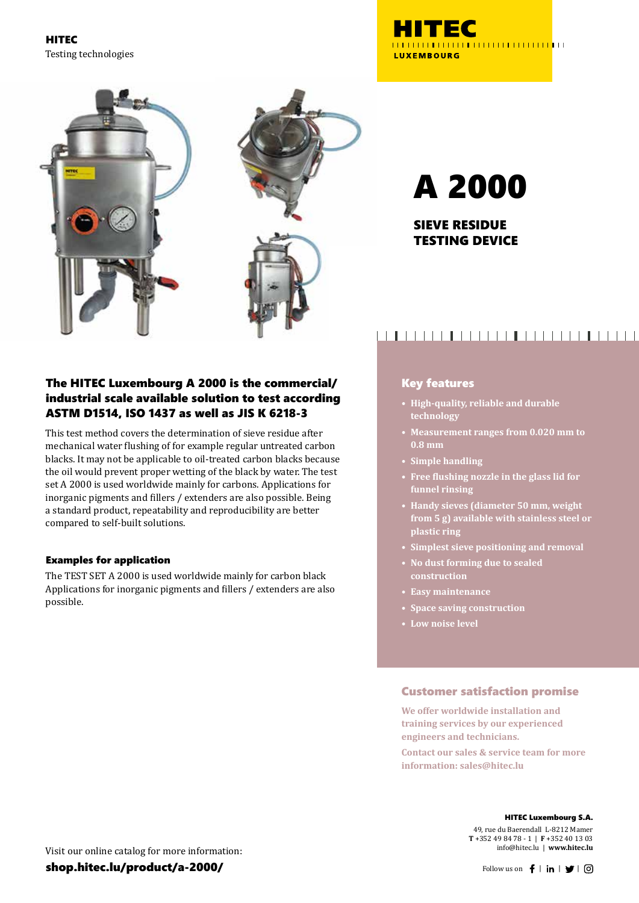HITEC Testing technologies



# The HITEC Luxembourg A 2000 is the commercial/ industrial scale available solution to test according ASTM D1514, ISO 1437 as well as JIS K 6218-3

This test method covers the determination of sieve residue after mechanical water flushing of for example regular untreated carbon blacks. It may not be applicable to oil-treated carbon blacks because the oil would prevent proper wetting of the black by water. The test set A 2000 is used worldwide mainly for carbons. Applications for inorganic pigments and fillers / extenders are also possible. Being a standard product, repeatability and reproducibility are better compared to self-built solutions.

#### Examples for application

The TEST SET A 2000 is used worldwide mainly for carbon black Applications for inorganic pigments and fillers / extenders are also possible.

# <u>HITEC</u> **LUXEMBOURG**

# A 2000

SIEVE RESIDUE TESTING DEVICE

# 

### Key features

- **• High-quality, reliable and durable technology**
- **• Measurement ranges from 0.020 mm to 0.8 mm**
- **• Simple handling**
- **• Free flushing nozzle in the glass lid for funnel rinsing**
- **• Handy sieves (diameter 50 mm, weight from 5 g) available with stainless steel or plastic ring**
- **• Simplest sieve positioning and removal**
- **• No dust forming due to sealed construction**
- **• Easy maintenance**
- **• Space saving construction**
- **• Low noise level**

### Customer satisfaction promise

**We offer worldwide installation and training services by our experienced engineers and technicians.**

**Contact our sales & service team for more information: sales@hitec.lu**

49, rue du Baerendall L-8212 Mamer **T** +352 49 84 78 - 1 | **F** +352 40 13 03 info@hitec.lu | **www.hitec.lu**

Visit our online catalog for more information:

shop.hitec.lu/product/a-2000/